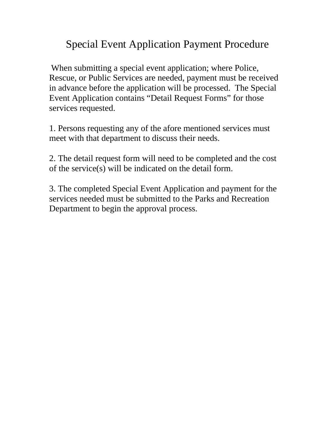# Special Event Application Payment Procedure

When submitting a special event application; where Police, Rescue, or Public Services are needed, payment must be received in advance before the application will be processed. The Special Event Application contains "Detail Request Forms" for those services requested.

1. Persons requesting any of the afore mentioned services must meet with that department to discuss their needs.

2. The detail request form will need to be completed and the cost of the service(s) will be indicated on the detail form.

3. The completed Special Event Application and payment for the services needed must be submitted to the Parks and Recreation Department to begin the approval process.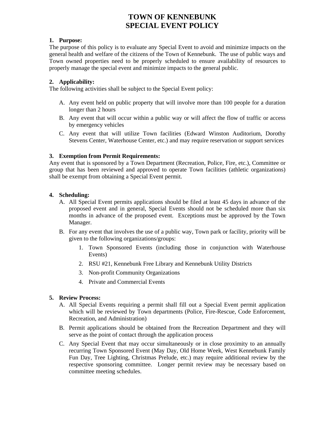### **TOWN OF KENNEBUNK SPECIAL EVENT POLICY**

#### **1. Purpose:**

The purpose of this policy is to evaluate any Special Event to avoid and minimize impacts on the general health and welfare of the citizens of the Town of Kennebunk. The use of public ways and Town owned properties need to be properly scheduled to ensure availability of resources to properly manage the special event and minimize impacts to the general public.

#### **2. Applicability:**

The following activities shall be subject to the Special Event policy:

- A. Any event held on public property that will involve more than 100 people for a duration longer than 2 hours
- B. Any event that will occur within a public way or will affect the flow of traffic or access by emergency vehicles
- C. Any event that will utilize Town facilities (Edward Winston Auditorium, Dorothy Stevens Center, Waterhouse Center, etc.) and may require reservation or support services

#### **3. Exemption from Permit Requirements:**

Any event that is sponsored by a Town Department (Recreation, Police, Fire, etc.), Committee or group that has been reviewed and approved to operate Town facilities (athletic organizations) shall be exempt from obtaining a Special Event permit.

#### **4. Scheduling:**

- A. All Special Event permits applications should be filed at least 45 days in advance of the proposed event and in general, Special Events should not be scheduled more than six months in advance of the proposed event. Exceptions must be approved by the Town Manager.
- B. For any event that involves the use of a public way, Town park or facility, priority will be given to the following organizations/groups:
	- 1. Town Sponsored Events (including those in conjunction with Waterhouse Events)
	- 2. RSU #21, Kennebunk Free Library and Kennebunk Utility Districts
	- 3. Non-profit Community Organizations
	- 4. Private and Commercial Events

#### **5. Review Process:**

- A. All Special Events requiring a permit shall fill out a Special Event permit application which will be reviewed by Town departments (Police, Fire-Rescue, Code Enforcement, Recreation, and Administration)
- B. Permit applications should be obtained from the Recreation Department and they will serve as the point of contact through the application process
- C. Any Special Event that may occur simultaneously or in close proximity to an annually recurring Town Sponsored Event (May Day, Old Home Week, West Kennebunk Family Fun Day, Tree Lighting, Christmas Prelude, etc.) may require additional review by the respective sponsoring committee. Longer permit review may be necessary based on committee meeting schedules.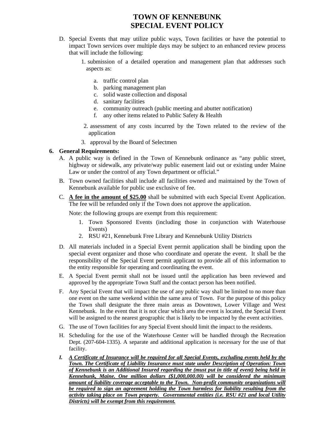### **TOWN OF KENNEBUNK SPECIAL EVENT POLICY**

- D. Special Events that may utilize public ways, Town facilities or have the potential to impact Town services over multiple days may be subject to an enhanced review process that will include the following:
	- 1. submission of a detailed operation and management plan that addresses such aspects as:
		- a. traffic control plan
		- b. parking management plan
		- c. solid waste collection and disposal
		- d. sanitary facilities
		- e. community outreach (public meeting and abutter notification)
		- f. any other items related to Public Safety & Health
	- 2. assessment of any costs incurred by the Town related to the review of the application
	- 3. approval by the Board of Selectmen

#### **6. General Requirements:**

- A. A public way is defined in the Town of Kennebunk ordinance as "any public street, highway or sidewalk, any private/way public easement laid out or existing under Maine Law or under the control of any Town department or official."
- B. Town owned facilities shall include all facilities owned and maintained by the Town of Kennebunk available for public use exclusive of fee.
- C. **A fee in the amount of \$25.00** shall be submitted with each Special Event Application. The fee will be refunded only if the Town does not approve the application.

Note: the following groups are exempt from this requirement:

- 1. Town Sponsored Events (including those in conjunction with Waterhouse Events)
- 2. RSU #21, Kennebunk Free Library and Kennebunk Utility Districts
- D. All materials included in a Special Event permit application shall be binding upon the special event organizer and those who coordinate and operate the event. It shall be the responsibility of the Special Event permit applicant to provide all of this information to the entity responsible for operating and coordinating the event.
- E. A Special Event permit shall not be issued until the application has been reviewed and approved by the appropriate Town Staff and the contact person has been notified.
- F. Any Special Event that will impact the use of any public way shall be limited to no more than one event on the same weekend within the same area of Town. For the purpose of this policy the Town shall designate the three main areas as Downtown, Lower Village and West Kennebunk. In the event that it is not clear which area the event is located, the Special Event will be assigned to the nearest geographic that is likely to be impacted by the event activities.
- G. The use of Town facilities for any Special Event should limit the impact to the residents.
- H. Scheduling for the use of the Waterhouse Center will be handled through the Recreation Dept. (207-604-1335). A separate and additional application is necessary for the use of that facility.
- *I. A Certificate of Insurance will be required for all Special Events, excluding events held by the Town. The Certificate of Liability Insurance must state under Description of Operation: Town of Kennebunk is an Additional Insured regarding the (must put in title of event) being held in Kennebunk, Maine. One million dollars (\$1,000,000.00) will be considered the minimum amount of liability coverage acceptable to the Town. Non-profit community organizations will be required to sign an agreement holding the Town harmless for liability resulting from the activity taking place on Town property. Governmental entities (i.e. RSU #21 and local Utility Districts) will be exempt from this requirement.*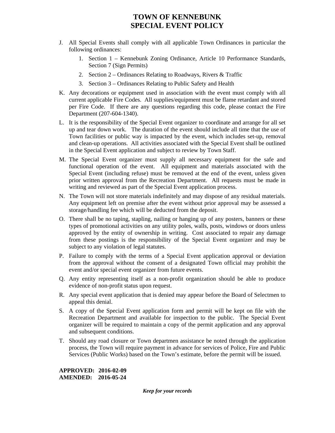### **TOWN OF KENNEBUNK SPECIAL EVENT POLICY**

- J. All Special Events shall comply with all applicable Town Ordinances in particular the following ordinances:
	- 1. Section 1 Kennebunk Zoning Ordinance, Article 10 Performance Standards, Section 7 (Sign Permits)
	- 2. Section 2 Ordinances Relating to Roadways, Rivers & Traffic
	- 3. Section 3 Ordinances Relating to Public Safety and Health
- K. Any decorations or equipment used in association with the event must comply with all current applicable Fire Codes. All supplies/equipment must be flame retardant and stored per Fire Code. If there are any questions regarding this code, please contact the Fire Department (207-604-1340).
- L. It is the responsibility of the Special Event organizer to coordinate and arrange for all set up and tear down work. The duration of the event should include all time that the use of Town facilities or public way is impacted by the event, which includes set-up, removal and clean-up operations. All activities associated with the Special Event shall be outlined in the Special Event application and subject to review by Town Staff.
- M. The Special Event organizer must supply all necessary equipment for the safe and functional operation of the event. All equipment and materials associated with the Special Event (including refuse) must be removed at the end of the event, unless given prior written approval from the Recreation Department. All requests must be made in writing and reviewed as part of the Special Event application process.
- N. The Town will not store materials indefinitely and may dispose of any residual materials. Any equipment left on premise after the event without prior approval may be assessed a storage/handling fee which will be deducted from the deposit.
- O. There shall be no taping, stapling, nailing or hanging up of any posters, banners or these types of promotional activities on any utility poles, walls, posts, windows or doors unless approved by the entity of ownership in writing. Cost associated to repair any damage from these postings is the responsibility of the Special Event organizer and may be subject to any violation of legal statutes.
- P. Failure to comply with the terms of a Special Event application approval or deviation from the approval without the consent of a designated Town official may prohibit the event and/or special event organizer from future events.
- Q. Any entity representing itself as a non-profit organization should be able to produce evidence of non-profit status upon request.
- R. Any special event application that is denied may appear before the Board of Selectmen to appeal this denial.
- S. A copy of the Special Event application form and permit will be kept on file with the Recreation Department and available for inspection to the public. The Special Event organizer will be required to maintain a copy of the permit application and any approval and subsequent conditions.
- T. Should any road closure or Town departmen assistance be noted through the application process, the Town will require payment in advance for services of Police, Fire and Public Services (Public Works) based on the Town's estimate, before the permit will be issued.

**APPROVED: 2016-02-09 AMENDED: 2016-05-24** 

*Keep for your records*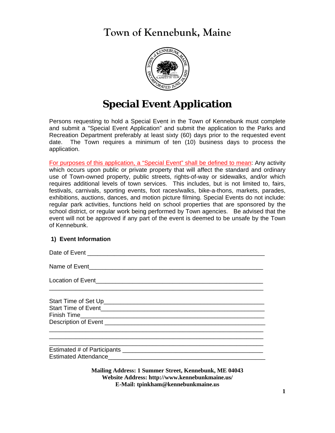**Town of Kennebunk, Maine** 



# **Special Event Application**

Persons requesting to hold a Special Event in the Town of Kennebunk must complete and submit a "Special Event Application" and submit the application to the Parks and Recreation Department preferably at least sixty (60) days prior to the requested event date. The Town requires a minimum of ten (10) business days to process the application.

For purposes of this application, a "Special Event" shall be defined to mean: Any activity which occurs upon public or private property that will affect the standard and ordinary use of Town-owned property, public streets, rights-of-way or sidewalks, and/or which requires additional levels of town services. This includes, but is not limited to, fairs, festivals, carnivals, sporting events, foot races/walks, bike-a-thons, markets, parades, exhibitions, auctions, dances, and motion picture filming. Special Events do not include: regular park activities, functions held on school properties that are sponsored by the school district, or regular work being performed by Town agencies. Be advised that the event will not be approved if any part of the event is deemed to be unsafe by the Town of Kennebunk.

#### **1) Event Information**

Date of Event \_\_\_\_\_\_\_\_\_\_\_\_\_\_\_\_\_\_\_\_\_\_\_\_\_\_\_\_\_\_\_\_\_\_\_\_\_\_\_\_\_\_\_\_\_\_\_\_\_\_\_\_\_ Name of Event\_\_\_\_\_\_\_\_\_\_\_\_\_\_\_\_\_\_\_\_\_\_\_\_\_\_\_\_\_\_\_\_\_\_\_\_\_\_\_\_\_\_\_\_\_\_\_\_\_\_\_\_ Location of Event \_\_\_\_\_\_\_\_\_\_\_\_\_\_\_\_\_\_\_\_\_\_\_\_\_\_\_\_\_\_\_\_\_\_\_\_\_\_\_\_\_\_\_\_\_\_\_\_\_\_\_\_\_\_\_\_\_\_\_\_\_\_\_\_ Start Time of Set Up\_\_\_\_\_\_\_\_\_\_\_\_\_\_\_\_\_\_\_\_\_\_\_\_\_\_\_\_\_\_\_\_\_\_\_\_\_\_\_\_\_\_\_\_\_\_\_\_ Start Time of Event\_\_\_\_\_\_\_\_\_\_\_\_\_\_\_\_\_\_\_\_\_\_\_\_\_\_\_\_\_\_\_\_\_\_\_\_\_\_\_\_\_\_\_\_\_\_\_\_\_ Finish Time Description of Event **Exercise of Exercise and Australian Control** of Secretary and Australian Control of Event \_\_\_\_\_\_\_\_\_\_\_\_\_\_\_\_\_\_\_\_\_\_\_\_\_\_\_\_\_\_\_\_\_\_\_\_\_\_\_\_\_\_\_\_\_\_\_\_\_\_\_\_\_\_\_\_\_\_\_\_\_\_\_\_ \_\_\_\_\_\_\_\_\_\_\_\_\_\_\_\_\_\_\_\_\_\_\_\_\_\_\_\_\_\_\_\_\_\_\_\_\_\_\_\_\_\_\_\_\_\_\_\_\_\_\_\_\_\_\_\_\_\_\_\_\_\_\_\_

Estimated # of Participants \_\_\_\_\_\_\_\_\_\_\_\_\_\_\_\_\_\_\_\_\_\_\_\_\_\_\_\_\_\_\_\_\_\_\_\_\_\_\_\_\_\_ Estimated Attendance

> **Mailing Address: 1 Summer Street, Kennebunk, ME 04043 Website Address: http://www.kennebunkmaine.us/ E-Mail: tpinkham@kennebunkmaine.us**

\_\_\_\_\_\_\_\_\_\_\_\_\_\_\_\_\_\_\_\_\_\_\_\_\_\_\_\_\_\_\_\_\_\_\_\_\_\_\_\_\_\_\_\_\_\_\_\_\_\_\_\_\_\_\_\_\_\_\_\_\_\_\_\_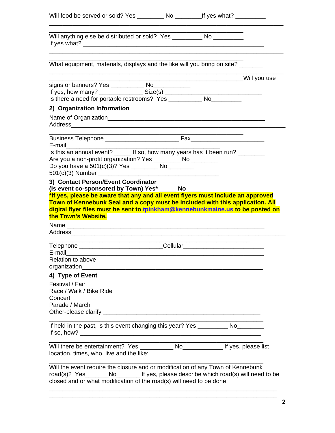| Will food be served or sold? Yes ____________ No _____________If yes what? ___________                                                                                                                                                                                                                                          |                                                 |  |
|---------------------------------------------------------------------------------------------------------------------------------------------------------------------------------------------------------------------------------------------------------------------------------------------------------------------------------|-------------------------------------------------|--|
| Will anything else be distributed or sold? Yes __________ No __________                                                                                                                                                                                                                                                         |                                                 |  |
| What equipment, materials, displays and the like will you bring on site? ______                                                                                                                                                                                                                                                 |                                                 |  |
|                                                                                                                                                                                                                                                                                                                                 | ___________________________________Will you use |  |
| signs or banners? Yes _____________ No_____________                                                                                                                                                                                                                                                                             |                                                 |  |
| 2) Organization Information                                                                                                                                                                                                                                                                                                     |                                                 |  |
|                                                                                                                                                                                                                                                                                                                                 |                                                 |  |
| E-mail $\qquad \qquad$                                                                                                                                                                                                                                                                                                          |                                                 |  |
| Is this an annual event? If so, how many years has it been run?<br>Are you a non-profit organization? Yes ___________ No _________                                                                                                                                                                                              |                                                 |  |
| (Is event co-sponsored by Town) Yes* _____ No ____<br>*If yes, please be aware that any and all event flyers must include an approved<br>Town of Kennebunk Seal and a copy must be included with this application. All<br>digital flyer files must be sent to tpinkham@kennebunkmaine.us to be posted on<br>the Town's Website. |                                                 |  |
|                                                                                                                                                                                                                                                                                                                                 |                                                 |  |
| Telephone _________________________________Cellular_____________________________                                                                                                                                                                                                                                                |                                                 |  |
| E-mail<br>Relation to above<br>organization_____                                                                                                                                                                                                                                                                                |                                                 |  |
| 4) Type of Event                                                                                                                                                                                                                                                                                                                |                                                 |  |
| Festival / Fair<br>Race / Walk / Bike Ride<br>Concert<br>Parade / March                                                                                                                                                                                                                                                         |                                                 |  |
|                                                                                                                                                                                                                                                                                                                                 |                                                 |  |
| If held in the past, is this event changing this year? Yes _____________ No___________                                                                                                                                                                                                                                          |                                                 |  |
| Will there be entertainment? Yes _____________ No__________________ If yes, please list<br>location, times, who, live and the like:                                                                                                                                                                                             |                                                 |  |
| Will the event require the closure and or modification of any Town of Kennebunk<br>closed and or what modification of the road(s) will need to be done.                                                                                                                                                                         |                                                 |  |

\_\_\_\_\_\_\_\_\_\_\_\_\_\_\_\_\_\_\_\_\_\_\_\_\_\_\_\_\_\_\_\_\_\_\_\_\_\_\_\_\_\_\_\_\_\_\_\_\_\_\_\_\_\_\_\_\_\_\_\_\_\_\_\_\_\_\_\_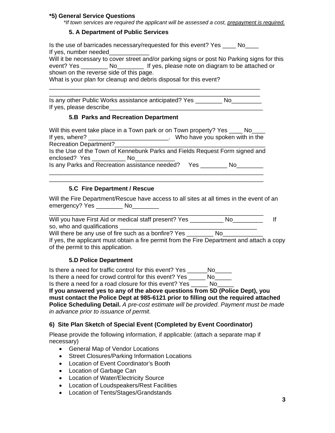#### **\*5) General Service Questions**

 *\*If town services are required the applicant will be assessed a cost, prepayment is required.*

#### **5. A Department of Public Services**

Is the use of barricades necessary/requested for this event? Yes \_\_\_\_ No\_\_\_\_ If yes, number needed

|                                         |                                                                                                               | Will it be necessary to cover street and/or parking signs or post No Parking signs for this |
|-----------------------------------------|---------------------------------------------------------------------------------------------------------------|---------------------------------------------------------------------------------------------|
| event? Yes                              | in a North North State and State and State and State and State and State and Tarakona and the North State and | If yes, please note on diagram to be attached or                                            |
| shown on the reverse side of this page. |                                                                                                               |                                                                                             |
| .                                       |                                                                                                               |                                                                                             |

What is your plan for cleanup and debris disposal for this event?

\_\_\_\_\_\_\_\_\_\_\_\_\_\_\_\_\_\_\_\_\_\_\_\_\_\_\_\_\_\_\_\_\_\_\_\_\_\_\_\_\_\_\_\_\_\_\_\_\_\_\_\_\_\_\_\_\_\_\_\_\_\_\_ Is any other Public Works assistance anticipated? Yes No If yes, please describe

\_\_\_\_\_\_\_\_\_\_\_\_\_\_\_\_\_\_\_\_\_\_\_\_\_\_\_\_\_\_\_\_\_\_\_\_\_\_\_\_\_\_\_\_\_\_\_\_\_\_\_\_\_\_\_\_\_\_\_\_\_\_\_

#### **5.B Parks and Recreation Department**

| Will this event take place in a Town park or on Town property? Yes ____ No__ |     |      |    |                                 |
|------------------------------------------------------------------------------|-----|------|----|---------------------------------|
| If yes, where?                                                               |     |      |    | Who have you spoken with in the |
| <b>Recreation Department?</b>                                                |     |      |    |                                 |
| Is the Use of the Town of Kennebunk Parks and Fields Request Form signed and |     |      |    |                                 |
| enclosed? Yes                                                                | No. |      |    |                                 |
| Is any Parks and Recreation assistance needed?                               |     | Yes. | Nο |                                 |

\_\_\_\_\_\_\_\_\_\_\_\_\_\_\_\_\_\_\_\_\_\_\_\_\_\_\_\_\_\_\_\_\_\_\_\_\_\_\_\_\_\_\_\_\_\_\_\_\_\_\_\_\_\_\_\_\_\_\_\_\_\_\_\_ \_\_\_\_\_\_\_\_\_\_\_\_\_\_\_\_\_\_\_\_\_\_\_\_\_\_\_\_\_\_\_\_\_\_\_\_\_\_\_\_\_\_\_\_\_\_\_\_\_\_\_\_\_\_\_\_\_\_\_\_\_\_\_\_

#### **5.C Fire Department / Rescue**

Will the Fire Department/Rescue have access to all sites at all times in the event of an emergency? Yes \_\_\_\_\_\_\_\_\_\_ No\_\_\_\_\_\_\_\_\_

| Will you have First Aid or medical staff present? Yes |  |
|-------------------------------------------------------|--|
| so, who and qualifications                            |  |

Will there be any use of fire such as a bonfire? Yes Theorem No

If yes, the applicant must obtain a fire permit from the Fire Department and attach a copy of the permit to this application.

#### **5.D Police Department**

Is there a need for traffic control for this event? Yes \_\_\_\_\_\_No\_\_\_\_\_ Is there a need for crowd control for this event? Yes \_\_\_\_\_ No\_\_\_\_\_

Is there a need for a road closure for this event? Yes \_\_\_\_\_ No\_\_\_\_\_

**If you answered yes to any of the above questions from 5D (Police Dept), you must contact the Police Dept at 985-6121 prior to filling out the required attached Police Scheduling Detail.** *A pre-cost estimate will be provided. Payment must be made in advance prior to issuance of permit.* 

#### **6) Site Plan Sketch of Special Event (Completed by Event Coordinator)**

Please provide the following information, if applicable: (attach a separate map if necessary)

- General Map of Vendor Locations
- Street Closures/Parking Information Locations
- Location of Event Coordinator's Booth
- Location of Garbage Can
- Location of Water/Electricity Source
- Location of Loudspeakers/Rest Facilities
- Location of Tents/Stages/Grandstands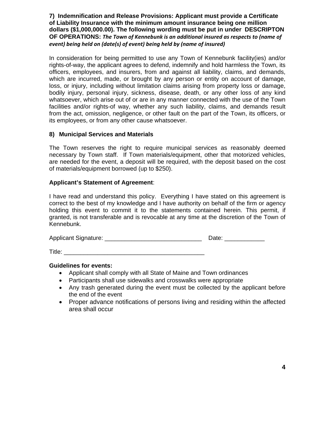**7) Indemnification and Release Provisions: Applicant must provide a Certificate of Liability Insurance with the minimum amount insurance being one million dollars (\$1,000,000.00). The following wording must be put in under DESCRIPTON OF OPERATIONS:** *The Town of Kennebunk is an additional insured as respects to (name of event) being held on (date(s) of event) being held by (name of insured)*

In consideration for being permitted to use any Town of Kennebunk facility(ies) and/or rights-of-way, the applicant agrees to defend, indemnify and hold harmless the Town, its officers, employees, and insurers, from and against all liability, claims, and demands, which are incurred, made, or brought by any person or entity on account of damage, loss, or injury, including without limitation claims arising from property loss or damage, bodily injury, personal injury, sickness, disease, death, or any other loss of any kind whatsoever, which arise out of or are in any manner connected with the use of the Town facilities and/or rights-of way, whether any such liability, claims, and demands result from the act, omission, negligence, or other fault on the part of the Town, its officers, or its employees, or from any other cause whatsoever.

#### **8) Municipal Services and Materials**

The Town reserves the right to require municipal services as reasonably deemed necessary by Town staff. If Town materials/equipment, other that motorized vehicles, are needed for the event, a deposit will be required, with the deposit based on the cost of materials/equipment borrowed (up to \$250).

#### **Applicant's Statement of Agreement**:

I have read and understand this policy. Everything I have stated on this agreement is correct to the best of my knowledge and I have authority on behalf of the firm or agency holding this event to commit it to the statements contained herein. This permit, if granted, is not transferable and is revocable at any time at the discretion of the Town of Kennebunk.

| <b>Applicant Signature:</b> | Date: |
|-----------------------------|-------|
|                             |       |

 $\blacksquare$  Title:

#### **Guidelines for events:**

- Applicant shall comply with all State of Maine and Town ordinances
- Participants shall use sidewalks and crosswalks were appropriate
- Any trash generated during the event must be collected by the applicant before the end of the event
- Proper advance notifications of persons living and residing within the affected area shall occur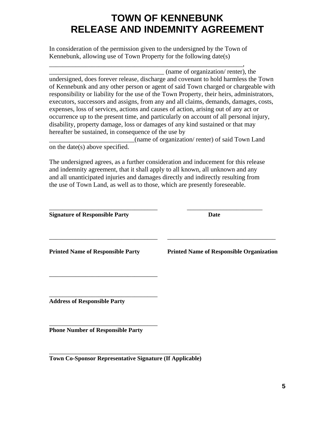# **TOWN OF KENNEBUNK RELEASE AND INDEMNITY AGREEMENT**

In consideration of the permission given to the undersigned by the Town of Kennebunk, allowing use of Town Property for the following date(s)

\_\_\_\_\_\_\_\_\_\_\_\_\_\_\_\_\_\_\_\_\_\_\_\_\_\_\_\_\_\_\_\_\_\_\_\_\_\_\_\_\_\_\_\_\_\_\_\_\_\_\_\_\_\_\_\_\_\_\_,

\_\_\_\_\_\_\_\_\_\_\_\_\_\_\_\_\_\_\_\_\_\_\_\_\_\_\_\_\_\_\_\_\_\_\_ (name of organization/ renter), the undersigned, does forever release, discharge and covenant to hold harmless the Town of Kennebunk and any other person or agent of said Town charged or chargeable with responsibility or liability for the use of the Town Property, their heirs, administrators, executors, successors and assigns, from any and all claims, demands, damages, costs, expenses, loss of services, actions and causes of action, arising out of any act or occurrence up to the present time, and particularly on account of all personal injury, disability, property damage, loss or damages of any kind sustained or that may hereafter be sustained, in consequence of the use by

\_\_\_\_\_\_\_\_\_\_\_\_\_\_\_\_\_\_\_\_\_\_\_\_\_\_(name of organization/ renter) of said Town Land on the date(s) above specified.

The undersigned agrees, as a further consideration and inducement for this release and indemnity agreement, that it shall apply to all known, all unknown and any and all unanticipated injuries and damages directly and indirectly resulting from the use of Town Land, as well as to those, which are presently foreseeable.

| <b>Signature of Responsible Party</b>    | Date                                            |
|------------------------------------------|-------------------------------------------------|
| <b>Printed Name of Responsible Party</b> | <b>Printed Name of Responsible Organization</b> |
| <b>Address of Responsible Party</b>      |                                                 |

**Phone Number of Responsible Party** 

\_\_\_\_\_\_\_\_\_\_\_\_\_\_\_\_\_\_\_\_\_\_\_\_\_\_\_\_\_\_\_\_\_

\_\_\_\_\_\_\_\_\_\_\_\_\_\_\_\_\_\_\_\_\_\_\_\_\_\_\_\_\_\_\_\_\_\_\_\_\_\_\_\_\_\_\_\_\_\_ **Town Co-Sponsor Representative Signature (If Applicable)**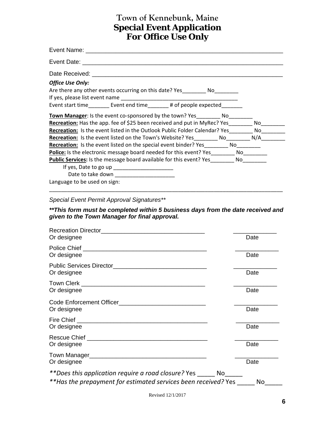## **Town of Kennebunk, Maine Special Event Application For Office Use Only**

| <b>Office Use Only:</b>                                                               |
|---------------------------------------------------------------------------------------|
| Are there any other events occurring on this date? Yes No                             |
|                                                                                       |
| Event start time__________ Event end time_________ # of people expected_________      |
| Town Manager: Is the event co-sponsored by the town? Yes_________ No________          |
| <b>Recreation:</b> Has the app. fee of \$25 been received and put in MyRec? Yes No    |
| <b>Recreation:</b> Is the event listed in the Outlook Public Folder Calendar? Yes No  |
| <b>Recreation:</b> Is the event listed on the Town's Website? Yes No N/A N/A          |
| <b>Recreation:</b> Is the event listed on the special event binder? Yes No            |
| Police: Is the electronic message board needed for this event? Yes________ No________ |
| <b>Public Services:</b> Is the message board available for this event? Yes No         |
|                                                                                       |
|                                                                                       |
| Language to be used on sign:                                                          |

*Special Event Permit Approval Signatures\*\** 

*\*\*This form must be completed within 5 business days from the date received and given to the Town Manager for final approval.* 

\_\_\_\_\_\_\_\_\_\_\_\_\_\_\_\_\_\_\_\_\_\_\_\_\_\_\_\_\_\_\_\_\_\_\_\_\_\_\_\_\_\_\_\_\_\_\_\_\_\_\_\_\_\_\_\_\_\_\_\_\_\_\_\_\_\_\_\_\_\_\_\_\_\_\_\_\_\_

| Or designee                                                          | Date |
|----------------------------------------------------------------------|------|
|                                                                      |      |
| Or designee                                                          | Date |
|                                                                      |      |
| Or designee                                                          | Date |
|                                                                      |      |
| Or designee                                                          | Date |
|                                                                      |      |
| Or designee                                                          | Date |
|                                                                      |      |
| Or designee                                                          | Date |
|                                                                      |      |
| Or designee                                                          | Date |
|                                                                      |      |
| Or designee                                                          | Date |
| **Does this application require a road closure? Yes _______ No______ |      |
| **Has the prepayment for estimated services been received? Yes       | No.  |

Revised 12/1/2017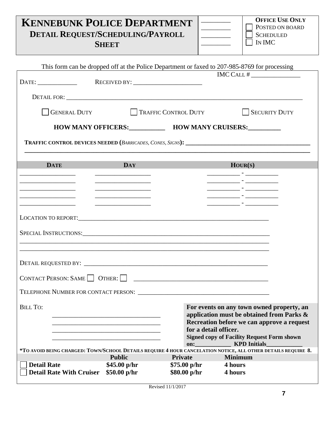**KENNEBUNK POLICE DEPARTMENT DETAIL REQUEST/SCHEDULING/PAYROLL** 

**SHEET**

**OFFICE USE ONLY** POSTED ON BOARD **SCHEDULED** IN IMC

|                                                  |                                                                                                  |                       | This form can be dropped off at the Police Department or faxed to 207-985-8769 for processing                                                                                                                                        |
|--------------------------------------------------|--------------------------------------------------------------------------------------------------|-----------------------|--------------------------------------------------------------------------------------------------------------------------------------------------------------------------------------------------------------------------------------|
|                                                  |                                                                                                  |                       |                                                                                                                                                                                                                                      |
|                                                  |                                                                                                  |                       |                                                                                                                                                                                                                                      |
|                                                  |                                                                                                  |                       |                                                                                                                                                                                                                                      |
|                                                  |                                                                                                  |                       |                                                                                                                                                                                                                                      |
|                                                  |                                                                                                  |                       |                                                                                                                                                                                                                                      |
| <b>GENERAL DUTY</b>                              | <b>TRAFFIC CONTROL DUTY</b>                                                                      |                       | SECURITY DUTY                                                                                                                                                                                                                        |
|                                                  |                                                                                                  |                       |                                                                                                                                                                                                                                      |
|                                                  |                                                                                                  |                       | HOW MANY OFFICERS: HOW MANY CRUISERS: _______                                                                                                                                                                                        |
|                                                  |                                                                                                  |                       |                                                                                                                                                                                                                                      |
|                                                  |                                                                                                  |                       |                                                                                                                                                                                                                                      |
|                                                  |                                                                                                  |                       |                                                                                                                                                                                                                                      |
|                                                  |                                                                                                  |                       |                                                                                                                                                                                                                                      |
| <b>DATE</b>                                      | <b>DAY</b>                                                                                       |                       | $\text{HOUR}(S)$                                                                                                                                                                                                                     |
|                                                  |                                                                                                  |                       | <u> 1990 - Jan James Harry Harry Harry Harry Harry Harry Harry Harry Harry Harry Harry Harry Harry Harry Harry Harry Harry Harry Harry Harry Harry Harry Harry Harry Harry Harry Harry Harry Harry Harry Harry Harry Harry Harry</u> |
|                                                  | <u>experience</u> and the control of the control of the control of the control of the control of |                       | <u> 1989 - Jan James Tennisson, mars et al.</u>                                                                                                                                                                                      |
|                                                  |                                                                                                  |                       |                                                                                                                                                                                                                                      |
| the control of the control of the control of the | the control of the control of the control of the control of                                      |                       |                                                                                                                                                                                                                                      |
|                                                  |                                                                                                  |                       |                                                                                                                                                                                                                                      |
|                                                  |                                                                                                  |                       |                                                                                                                                                                                                                                      |
|                                                  |                                                                                                  |                       |                                                                                                                                                                                                                                      |
|                                                  |                                                                                                  |                       |                                                                                                                                                                                                                                      |
| SPECIAL INSTRUCTIONS:                            |                                                                                                  |                       |                                                                                                                                                                                                                                      |
|                                                  |                                                                                                  |                       |                                                                                                                                                                                                                                      |
|                                                  |                                                                                                  |                       |                                                                                                                                                                                                                                      |
|                                                  |                                                                                                  |                       |                                                                                                                                                                                                                                      |
|                                                  |                                                                                                  |                       |                                                                                                                                                                                                                                      |
|                                                  |                                                                                                  |                       |                                                                                                                                                                                                                                      |
|                                                  |                                                                                                  |                       |                                                                                                                                                                                                                                      |
|                                                  |                                                                                                  |                       |                                                                                                                                                                                                                                      |
|                                                  |                                                                                                  |                       |                                                                                                                                                                                                                                      |
|                                                  |                                                                                                  |                       |                                                                                                                                                                                                                                      |
| <b>BILL TO:</b>                                  |                                                                                                  |                       | For events on any town owned property, an                                                                                                                                                                                            |
|                                                  |                                                                                                  |                       | application must be obtained from Parks &                                                                                                                                                                                            |
|                                                  |                                                                                                  |                       | Recreation before we can approve a request                                                                                                                                                                                           |
|                                                  |                                                                                                  | for a detail officer. |                                                                                                                                                                                                                                      |
|                                                  |                                                                                                  | on:                   | <b>Signed copy of Facility Request Form shown</b><br><b>KPD</b> Initials                                                                                                                                                             |
|                                                  |                                                                                                  |                       | *TO AVOID BEING CHARGED: TOWN/SCHOOL DETAILS REQUIRE 4 HOUR CANCELATION NOTICE, ALL OTHER DETAILS REQUIRE 8.                                                                                                                         |
|                                                  | <b>Public</b>                                                                                    | <b>Private</b>        | <b>Minimum</b>                                                                                                                                                                                                                       |
| <b>Detail Rate</b>                               | $$45.00\text{ p/hr}$                                                                             | \$75.00 p/hr          | 4 hours                                                                                                                                                                                                                              |
| <b>Detail Rate With Cruiser</b>                  | \$50.00 p/hr                                                                                     | \$80.00 p/hr          | 4 hours                                                                                                                                                                                                                              |
|                                                  |                                                                                                  |                       |                                                                                                                                                                                                                                      |

Revised 11/1/2017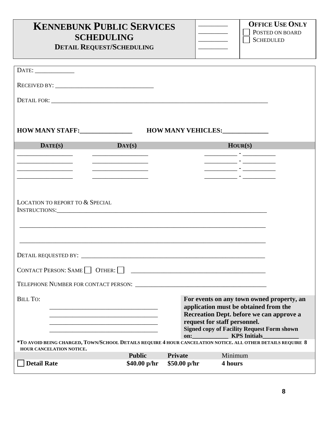| <b>KENNEBUNK PUBLIC SERVICES</b><br><b>SCHEDULING</b><br><b>DETAIL REQUEST/SCHEDULING</b>                                               |                                         |              | the control of the control of<br><u> 1990 - Johann Barnett, fransk konge</u> | <b>OFFICE USE ONLY</b><br>POSTED ON BOARD<br><b>SCHEDULED</b>                                                                                                                       |
|-----------------------------------------------------------------------------------------------------------------------------------------|-----------------------------------------|--------------|------------------------------------------------------------------------------|-------------------------------------------------------------------------------------------------------------------------------------------------------------------------------------|
|                                                                                                                                         |                                         |              |                                                                              |                                                                                                                                                                                     |
|                                                                                                                                         |                                         |              |                                                                              |                                                                                                                                                                                     |
|                                                                                                                                         |                                         |              |                                                                              |                                                                                                                                                                                     |
|                                                                                                                                         |                                         |              |                                                                              |                                                                                                                                                                                     |
| <b>HOW MANY STAFF:</b>                                                                                                                  |                                         |              | HOW MANY VEHICLES:                                                           |                                                                                                                                                                                     |
| $\mathbf{DATE}(s)$<br>$\mathbf{DAY}(S)$                                                                                                 |                                         |              |                                                                              | HOUR(S)                                                                                                                                                                             |
|                                                                                                                                         | <u> 1980 - Johann Barbara, martxa a</u> |              |                                                                              |                                                                                                                                                                                     |
|                                                                                                                                         |                                         |              |                                                                              | <u> 2000 - Jan James James (</u> † 1922)                                                                                                                                            |
|                                                                                                                                         |                                         |              |                                                                              |                                                                                                                                                                                     |
| <b>LOCATION TO REPORT TO &amp; SPECIAL</b>                                                                                              |                                         |              |                                                                              |                                                                                                                                                                                     |
|                                                                                                                                         |                                         |              |                                                                              |                                                                                                                                                                                     |
| CONTACT PERSON: SAME   OTHER:                                                                                                           |                                         |              |                                                                              |                                                                                                                                                                                     |
|                                                                                                                                         |                                         |              |                                                                              |                                                                                                                                                                                     |
| <b>BILL TO:</b><br>the control of the control of the control of the control of the control of the control of                            |                                         |              | request for staff personnel.<br>on: KPS Initials                             | For events on any town owned property, an<br>application must be obtained from the<br>Recreation Dept. before we can approve a<br><b>Signed copy of Facility Request Form shown</b> |
| *TO AVOID BEING CHARGED, TOWN/SCHOOL DETAILS REQUIRE 4 HOUR CANCELATION NOTICE. ALL OTHER DETAILS REQUIRE 8<br>HOUR CANCELATION NOTICE. |                                         |              |                                                                              |                                                                                                                                                                                     |
|                                                                                                                                         | <b>Public</b>                           | Private      | Minimum                                                                      |                                                                                                                                                                                     |
| <b>Detail Rate</b>                                                                                                                      | \$40.00~p/hr                            | \$50.00 p/hr | 4 hours                                                                      |                                                                                                                                                                                     |